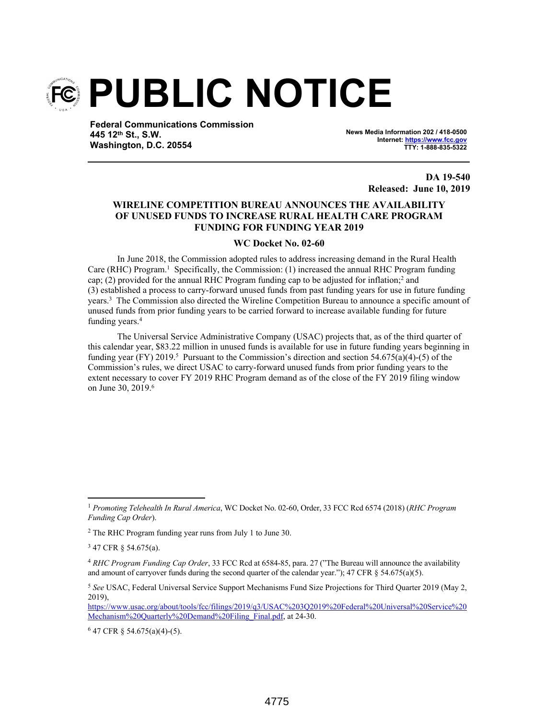

**Federal Communications Commission 445 12th St., S.W. Washington, D.C. 20554**

**News Media Information 202 / 418-0500 Internet: https://www.fcc.gov TTY: 1-888-835-5322**

> **DA 19-540 Released: June 10, 2019**

## **WIRELINE COMPETITION BUREAU ANNOUNCES THE AVAILABILITY OF UNUSED FUNDS TO INCREASE RURAL HEALTH CARE PROGRAM FUNDING FOR FUNDING YEAR 2019**

## **WC Docket No. 02-60**

In June 2018, the Commission adopted rules to address increasing demand in the Rural Health Care (RHC) Program.<sup>1</sup> Specifically, the Commission: (1) increased the annual RHC Program funding cap; (2) provided for the annual RHC Program funding cap to be adjusted for inflation;<sup>2</sup> and (3) established a process to carry-forward unused funds from past funding years for use in future funding years.<sup>3</sup> The Commission also directed the Wireline Competition Bureau to announce a specific amount of unused funds from prior funding years to be carried forward to increase available funding for future funding years.<sup>4</sup>

The Universal Service Administrative Company (USAC) projects that, as of the third quarter of this calendar year, \$83.22 million in unused funds is available for use in future funding years beginning in funding year (FY) 2019.<sup>5</sup> Pursuant to the Commission's direction and section 54.675(a)(4)-(5) of the Commission's rules, we direct USAC to carry-forward unused funds from prior funding years to the extent necessary to cover FY 2019 RHC Program demand as of the close of the FY 2019 filing window on June 30, 2019.<sup>6</sup>

<sup>1</sup> *Promoting Telehealth In Rural America*, WC Docket No. 02-60, Order, 33 FCC Rcd 6574 (2018) (*RHC Program Funding Cap Order*).

<sup>&</sup>lt;sup>2</sup> The RHC Program funding year runs from July 1 to June 30.

<sup>&</sup>lt;sup>3</sup> 47 CFR § 54.675(a).

<sup>4</sup> *RHC Program Funding Cap Order*, 33 FCC Rcd at 6584-85, para. 27 ("The Bureau will announce the availability and amount of carryover funds during the second quarter of the calendar year."); 47 CFR  $\S$  54.675(a)(5).

<sup>5</sup> *See* USAC, Federal Universal Service Support Mechanisms Fund Size Projections for Third Quarter 2019 (May 2, 2019),

https://www.usac.org/about/tools/fcc/filings/2019/q3/USAC%203Q2019%20Federal%20Universal%20Service%20 Mechanism%20Quarterly%20Demand%20Filing Final.pdf, at 24-30.

<sup>6</sup> 47 CFR § 54.675(a)(4)-(5).